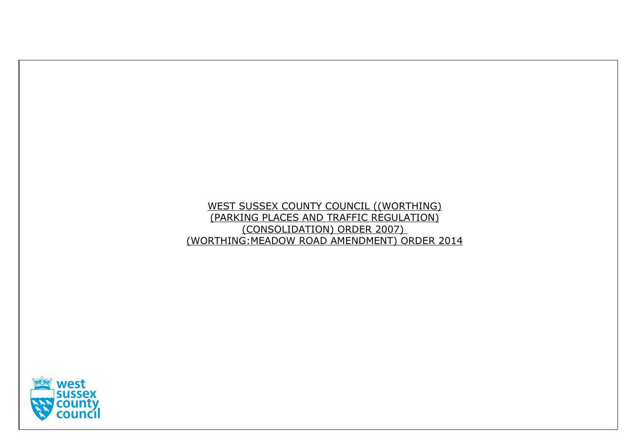# WEST SUSSEX COUNTY COUNCIL ((WORTHING) (PARKING PLACES AND TRAFFIC REGULATION) (CONSOLIDATION) ORDER 2007) (WORTHING:MEADOW ROAD AMENDMENT) ORDER 2014

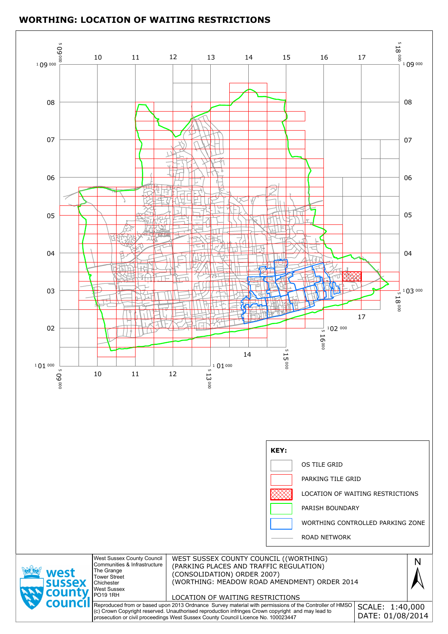

## **WORTHING: LOCATION OF WAITING RESTRICTIONS**

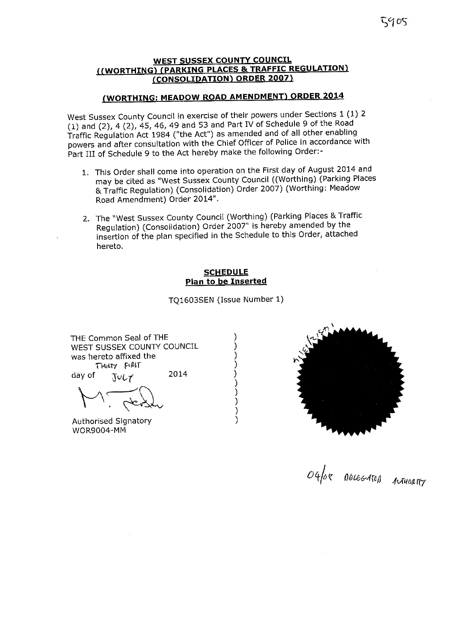$305^\circ$ 

#### **WEST SUSSEX COUNTY COUNCIL** ((WORTHING) (PARKING PLACES & TRAFFIC REGULATION) (CONSOLIDATION) ORDER 2007)

### (WORTHING: MEADOW ROAD AMENDMENT) ORDER 2014

West Sussex County Council in exercise of their powers under Sections 1 (1) 2  $(1)$  and  $(2)$ , 4  $(2)$ , 45, 46, 49 and 53 and Part IV of Schedule 9 of the Road Traffic Regulation Act 1984 ("the Act") as amended and of all other enabling powers and after consultation with the Chief Officer of Police in accordance with Part III of Schedule 9 to the Act hereby make the following Order:-

- 1. This Order shall come into operation on the First day of August 2014 and may be cited as "West Sussex County Council ((Worthing) (Parking Places & Traffic Regulation) (Consolidation) Order 2007) (Worthing: Meadow Road Amendment) Order 2014".
- 2. The "West Sussex County Council (Worthing) (Parking Places & Traffic Regulation) (Consolidation) Order 2007" is hereby amended by the insertion of the plan specified in the Schedule to this Order, attached hereto.

#### **SCHEDULE** Plan to be Inserted

TQ1603SEN (Issue Number 1)

١

 $\mathcal{E}$ 

 $\mathcal{E}$ 

THE Common Seal of THE WEST SUSSEX COUNTY COUNCIL was hereto affixed the THATY FIRST 2014 day of  $J \cup L \neq$ 

Authorised Signatory **WOR9004-MM** 



OG/OR DELEGATED AUTHORITY